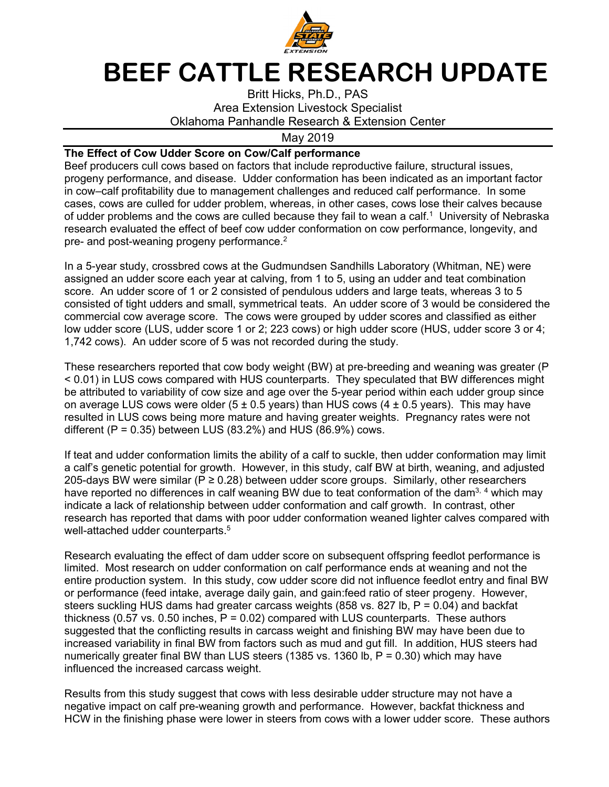

## **BEEF CATTLE RESEARCH UPDATE**

Britt Hicks, Ph.D., PAS Area Extension Livestock Specialist Oklahoma Panhandle Research & Extension Center

May 2019

## **The Effect of Cow Udder Score on Cow/Calf performance**

Beef producers cull cows based on factors that include reproductive failure, structural issues, progeny performance, and disease. Udder conformation has been indicated as an important factor in cow–calf profitability due to management challenges and reduced calf performance. In some cases, cows are culled for udder problem, whereas, in other cases, cows lose their calves because of udder problems and the cows are culled because they fail to wean a calf.<sup>1</sup> University of Nebraska research evaluated the effect of beef cow udder conformation on cow performance, longevity, and pre- and post-weaning progeny performance.<sup>2</sup>

In a 5-year study, crossbred cows at the Gudmundsen Sandhills Laboratory (Whitman, NE) were assigned an udder score each year at calving, from 1 to 5, using an udder and teat combination score. An udder score of 1 or 2 consisted of pendulous udders and large teats, whereas 3 to 5 consisted of tight udders and small, symmetrical teats. An udder score of 3 would be considered the commercial cow average score. The cows were grouped by udder scores and classified as either low udder score (LUS, udder score 1 or 2; 223 cows) or high udder score (HUS, udder score 3 or 4; 1,742 cows). An udder score of 5 was not recorded during the study.

These researchers reported that cow body weight (BW) at pre-breeding and weaning was greater (P < 0.01) in LUS cows compared with HUS counterparts. They speculated that BW differences might be attributed to variability of cow size and age over the 5-year period within each udder group since on average LUS cows were older  $(5 \pm 0.5 \text{ years})$  than HUS cows  $(4 \pm 0.5 \text{ years})$ . This may have resulted in LUS cows being more mature and having greater weights. Pregnancy rates were not different  $(P = 0.35)$  between LUS  $(83.2%)$  and HUS  $(86.9%)$  cows.

If teat and udder conformation limits the ability of a calf to suckle, then udder conformation may limit a calf's genetic potential for growth. However, in this study, calf BW at birth, weaning, and adjusted 205-days BW were similar ( $P \ge 0.28$ ) between udder score groups. Similarly, other researchers have reported no differences in calf weaning BW due to teat conformation of the dam<sup>3, 4</sup> which may indicate a lack of relationship between udder conformation and calf growth. In contrast, other research has reported that dams with poor udder conformation weaned lighter calves compared with well-attached udder counterparts.<sup>5</sup>

Research evaluating the effect of dam udder score on subsequent offspring feedlot performance is limited. Most research on udder conformation on calf performance ends at weaning and not the entire production system. In this study, cow udder score did not influence feedlot entry and final BW or performance (feed intake, average daily gain, and gain:feed ratio of steer progeny. However, steers suckling HUS dams had greater carcass weights (858 vs. 827 lb, P = 0.04) and backfat thickness (0.57 vs. 0.50 inches,  $P = 0.02$ ) compared with LUS counterparts. These authors suggested that the conflicting results in carcass weight and finishing BW may have been due to increased variability in final BW from factors such as mud and gut fill. In addition, HUS steers had numerically greater final BW than LUS steers (1385 vs. 1360 lb,  $P = 0.30$ ) which may have influenced the increased carcass weight.

Results from this study suggest that cows with less desirable udder structure may not have a negative impact on calf pre-weaning growth and performance. However, backfat thickness and HCW in the finishing phase were lower in steers from cows with a lower udder score. These authors